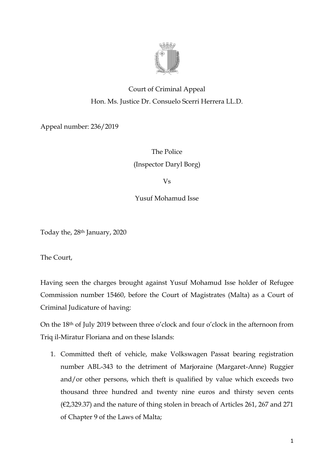

## Court of Criminal Appeal Hon. Ms. Justice Dr. Consuelo Scerri Herrera LL.D.

Appeal number: 236/2019

The Police (Inspector Daryl Borg)

Vs

Yusuf Mohamud Isse

Today the, 28th January, 2020

The Court,

Having seen the charges brought against Yusuf Mohamud Isse holder of Refugee Commission number 15460, before the Court of Magistrates (Malta) as a Court of Criminal Judicature of having:

On the 18th of July 2019 between three o'clock and four o'clock in the afternoon from Triq il-Miratur Floriana and on these Islands:

1. Committed theft of vehicle, make Volkswagen Passat bearing registration number ABL-343 to the detriment of Marjoraine (Margaret-Anne) Ruggier and/or other persons, which theft is qualified by value which exceeds two thousand three hundred and twenty nine euros and thirsty seven cents (€2,329.37) and the nature of thing stolen in breach of Articles 261, 267 and 271 of Chapter 9 of the Laws of Malta;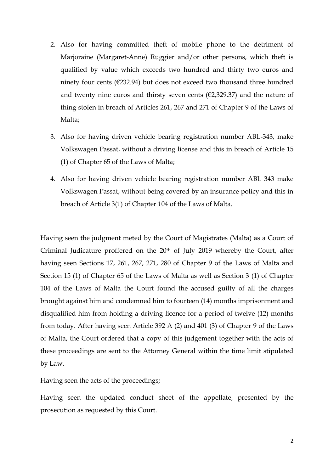- 2. Also for having committed theft of mobile phone to the detriment of Marjoraine (Margaret-Anne) Ruggier and/or other persons, which theft is qualified by value which exceeds two hundred and thirty two euros and ninety four cents (€232.94) but does not exceed two thousand three hundred and twenty nine euros and thirsty seven cents  $(E2,329.37)$  and the nature of thing stolen in breach of Articles 261, 267 and 271 of Chapter 9 of the Laws of Malta;
- 3. Also for having driven vehicle bearing registration number ABL-343, make Volkswagen Passat, without a driving license and this in breach of Article 15 (1) of Chapter 65 of the Laws of Malta;
- 4. Also for having driven vehicle bearing registration number ABL 343 make Volkswagen Passat, without being covered by an insurance policy and this in breach of Article 3(1) of Chapter 104 of the Laws of Malta.

Having seen the judgment meted by the Court of Magistrates (Malta) as a Court of Criminal Judicature proffered on the 20<sup>th</sup> of July 2019 whereby the Court, after having seen Sections 17, 261, 267, 271, 280 of Chapter 9 of the Laws of Malta and Section 15 (1) of Chapter 65 of the Laws of Malta as well as Section 3 (1) of Chapter 104 of the Laws of Malta the Court found the accused guilty of all the charges brought against him and condemned him to fourteen (14) months imprisonment and disqualified him from holding a driving licence for a period of twelve (12) months from today. After having seen Article 392 A (2) and 401 (3) of Chapter 9 of the Laws of Malta, the Court ordered that a copy of this judgement together with the acts of these proceedings are sent to the Attorney General within the time limit stipulated by Law.

Having seen the acts of the proceedings;

Having seen the updated conduct sheet of the appellate, presented by the prosecution as requested by this Court.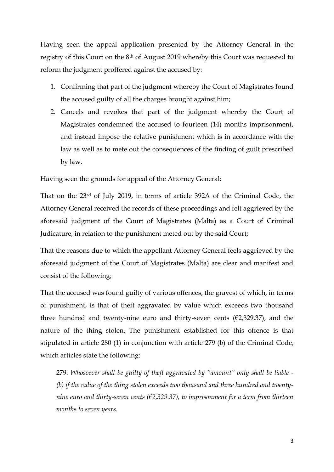Having seen the appeal application presented by the Attorney General in the registry of this Court on the 8th of August 2019 whereby this Court was requested to reform the judgment proffered against the accused by:

- 1. Confirming that part of the judgment whereby the Court of Magistrates found the accused guilty of all the charges brought against him;
- 2. Cancels and revokes that part of the judgment whereby the Court of Magistrates condemned the accused to fourteen (14) months imprisonment, and instead impose the relative punishment which is in accordance with the law as well as to mete out the consequences of the finding of guilt prescribed by law.

Having seen the grounds for appeal of the Attorney General:

That on the 23rd of July 2019, in terms of article 392A of the Criminal Code, the Attorney General received the records of these proceedings and felt aggrieved by the aforesaid judgment of the Court of Magistrates (Malta) as a Court of Criminal Judicature, in relation to the punishment meted out by the said Court;

That the reasons due to which the appellant Attorney General feels aggrieved by the aforesaid judgment of the Court of Magistrates (Malta) are clear and manifest and consist of the following;

That the accused was found guilty of various offences, the gravest of which, in terms of punishment, is that of theft aggravated by value which exceeds two thousand three hundred and twenty-nine euro and thirty-seven cents  $(E2,329.37)$ , and the nature of the thing stolen. The punishment established for this offence is that stipulated in article 280 (1) in conjunction with article 279 (b) of the Criminal Code, which articles state the following:

279. *Whosoever shall be guilty of theft aggravated by "amount" only shall be liable - (b) if the value of the thing stolen exceeds two thousand and three hundred and twentynine euro and thirty-seven cents (€2,329.37), to imprisonment for a term from thirteen months to seven years.*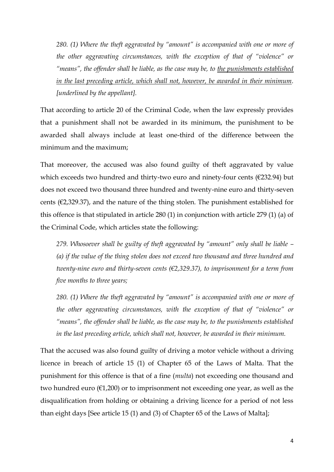*280. (1) Where the theft aggravated by "amount" is accompanied with one or more of the other aggravating circumstances, with the exception of that of "violence" or*  "means", the offender shall be liable, as the case may be, to the punishments established *in the last preceding article, which shall not, however, be awarded in their minimum. [underlined by the appellant].*

That according to article 20 of the Criminal Code, when the law expressly provides that a punishment shall not be awarded in its minimum, the punishment to be awarded shall always include at least one-third of the difference between the minimum and the maximum;

That moreover, the accused was also found guilty of theft aggravated by value which exceeds two hundred and thirty-two euro and ninety-four cents (€232.94) but does not exceed two thousand three hundred and twenty-nine euro and thirty-seven cents ( $\epsilon$ 2,329.37), and the nature of the thing stolen. The punishment established for this offence is that stipulated in article 280 (1) in conjunction with article 279 (1) (a) of the Criminal Code, which articles state the following:

*279. Whosoever shall be guilty of theft aggravated by "amount" only shall be liable – (a) if the value of the thing stolen does not exceed two thousand and three hundred and twenty-nine euro and thirty-seven cents (€2,329.37), to imprisonment for a term from five months to three years;*

*280. (1) Where the theft aggravated by "amount" is accompanied with one or more of the other aggravating circumstances, with the exception of that of "violence" or "means", the offender shall be liable, as the case may be, to the punishments established in the last preceding article, which shall not, however, be awarded in their minimum.* 

That the accused was also found guilty of driving a motor vehicle without a driving licence in breach of article 15 (1) of Chapter 65 of the Laws of Malta. That the punishment for this offence is that of a fine (*multa*) not exceeding one thousand and two hundred euro ( $E1,200$ ) or to imprisonment not exceeding one year, as well as the disqualification from holding or obtaining a driving licence for a period of not less than eight days [See article 15 (1) and (3) of Chapter 65 of the Laws of Malta];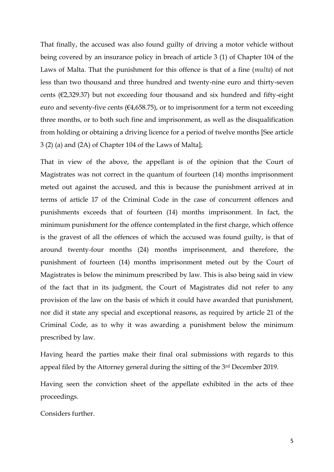That finally, the accused was also found guilty of driving a motor vehicle without being covered by an insurance policy in breach of article 3 (1) of Chapter 104 of the Laws of Malta. That the punishment for this offence is that of a fine (*multa*) of not less than two thousand and three hundred and twenty-nine euro and thirty-seven cents (€2,329.37) but not exceeding four thousand and six hundred and fifty-eight euro and seventy-five cents ( $\epsilon$ 4,658.75), or to imprisonment for a term not exceeding three months, or to both such fine and imprisonment, as well as the disqualification from holding or obtaining a driving licence for a period of twelve months [See article 3 (2) (a) and (2A) of Chapter 104 of the Laws of Malta];

That in view of the above, the appellant is of the opinion that the Court of Magistrates was not correct in the quantum of fourteen (14) months imprisonment meted out against the accused, and this is because the punishment arrived at in terms of article 17 of the Criminal Code in the case of concurrent offences and punishments exceeds that of fourteen (14) months imprisonment. In fact, the minimum punishment for the offence contemplated in the first charge, which offence is the gravest of all the offences of which the accused was found guilty, is that of around twenty-four months (24) months imprisonment, and therefore, the punishment of fourteen (14) months imprisonment meted out by the Court of Magistrates is below the minimum prescribed by law. This is also being said in view of the fact that in its judgment, the Court of Magistrates did not refer to any provision of the law on the basis of which it could have awarded that punishment, nor did it state any special and exceptional reasons, as required by article 21 of the Criminal Code, as to why it was awarding a punishment below the minimum prescribed by law.

Having heard the parties make their final oral submissions with regards to this appeal filed by the Attorney general during the sitting of the 3rd December 2019.

Having seen the conviction sheet of the appellate exhibited in the acts of thee proceedings.

Considers further.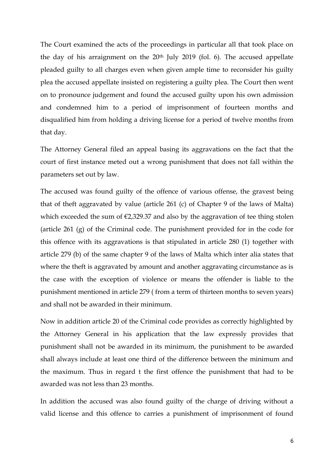The Court examined the acts of the proceedings in particular all that took place on the day of his arraignment on the 20<sup>th</sup> July 2019 (fol. 6). The accused appellate pleaded guilty to all charges even when given ample time to reconsider his guilty plea the accused appellate insisted on registering a guilty plea. The Court then went on to pronounce judgement and found the accused guilty upon his own admission and condemned him to a period of imprisonment of fourteen months and disqualified him from holding a driving license for a period of twelve months from that day.

The Attorney General filed an appeal basing its aggravations on the fact that the court of first instance meted out a wrong punishment that does not fall within the parameters set out by law.

The accused was found guilty of the offence of various offense, the gravest being that of theft aggravated by value (article 261 (c) of Chapter 9 of the laws of Malta) which exceeded the sum of  $\epsilon$ 2,329.37 and also by the aggravation of tee thing stolen (article 261 (g) of the Criminal code. The punishment provided for in the code for this offence with its aggravations is that stipulated in article 280 (1) together with article 279 (b) of the same chapter 9 of the laws of Malta which inter alia states that where the theft is aggravated by amount and another aggravating circumstance as is the case with the exception of violence or means the offender is liable to the punishment mentioned in article 279 ( from a term of thirteen months to seven years) and shall not be awarded in their minimum.

Now in addition article 20 of the Criminal code provides as correctly highlighted by the Attorney General in his application that the law expressly provides that punishment shall not be awarded in its minimum, the punishment to be awarded shall always include at least one third of the difference between the minimum and the maximum. Thus in regard t the first offence the punishment that had to be awarded was not less than 23 months.

In addition the accused was also found guilty of the charge of driving without a valid license and this offence to carries a punishment of imprisonment of found